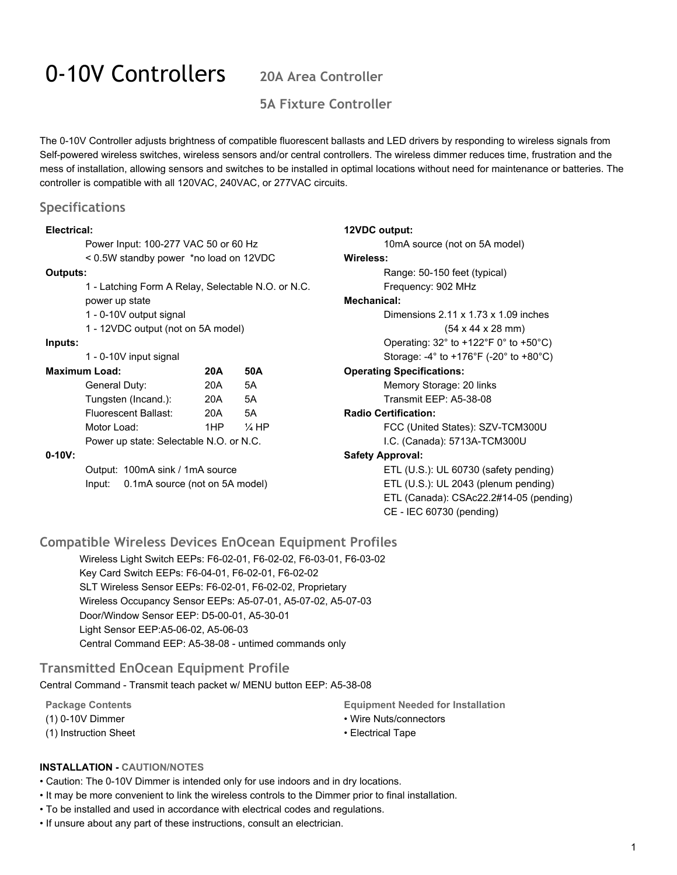# 0-10V Controllers **20A Area Controller**

## **5A Fixture Controller**

The 0-10V Controller adjusts brightness of compatible fluorescent ballasts and LED drivers by responding to wireless signals from Self-powered wireless switches, wireless sensors and/or central controllers. The wireless dimmer reduces time, frustration and the mess of installation, allowing sensors and switches to be installed in optimal locations without need for maintenance or batteries. The controller is compatible with all 120VAC, 240VAC, or 277VAC circuits.

#### **Specifications**

#### **Electrical:**

| Electrical:                                        |                                          |     |                  | 12VDC output:                                                |
|----------------------------------------------------|------------------------------------------|-----|------------------|--------------------------------------------------------------|
| Power Input: 100-277 VAC 50 or 60 Hz               |                                          |     |                  | 10mA source (not on 5A model)                                |
| < 0.5W standby power *no load on 12VDC             |                                          |     |                  | Wireless:                                                    |
| Outputs:                                           |                                          |     |                  | Range: 50-150 feet (typical)                                 |
| 1 - Latching Form A Relay, Selectable N.O. or N.C. |                                          |     |                  | Frequency: 902 MHz                                           |
|                                                    | power up state                           |     |                  | Mechanical:                                                  |
| 1 - 0-10V output signal                            |                                          |     |                  | Dimensions $2.11 \times 1.73 \times 1.09$ inches             |
| 1 - 12VDC output (not on 5A model)                 |                                          |     |                  | $(54 \times 44 \times 28 \text{ mm})$                        |
| Inputs:                                            |                                          |     |                  | Operating: $32^\circ$ to $+122^\circ$ F 0° to $+50^\circ$ C) |
|                                                    | 1 - 0-10V input signal                   |     |                  | Storage: -4° to +176°F (-20° to +80°C)                       |
| <b>Maximum Load:</b><br>50A<br>20A                 |                                          |     |                  | <b>Operating Specifications:</b>                             |
|                                                    | General Duty:                            | 20A | 5A               | Memory Storage: 20 links                                     |
|                                                    | Tungsten (Incand.):                      | 20A | 5A               | Transmit EEP: A5-38-08                                       |
|                                                    | <b>Fluorescent Ballast:</b>              | 20A | 5A               | <b>Radio Certification:</b>                                  |
|                                                    | Motor Load:                              | 1HP | $\frac{1}{4}$ HP | FCC (United States): SZV-TCM300U                             |
|                                                    | Power up state: Selectable N.O. or N.C.  |     |                  | I.C. (Canada): 5713A-TCM300U                                 |
| $0 - 10V:$                                         |                                          |     |                  | <b>Safety Approval:</b>                                      |
|                                                    | Output: 100mA sink / 1mA source          |     |                  | ETL $(U.S.)$ : UL 60730 (safety pending)                     |
|                                                    | 0.1mA source (not on 5A model)<br>Input: |     |                  | ETL (U.S.): UL 2043 (plenum pending)                         |
|                                                    |                                          |     |                  | ETL (Canada): CSAc22.2#14-05 (pending)                       |
|                                                    |                                          |     |                  | CE - IEC 60730 (pending)                                     |

### **Compatible Wireless Devices EnOcean Equipment Profiles**

Wireless Light Switch EEPs: F6-02-01, F6-02-02, F6-03-01, F6-03-02 Key Card Switch EEPs: F6-04-01, F6-02-01, F6-02-02 SLT Wireless Sensor EEPs: F6-02-01, F6-02-02, Proprietary Wireless Occupancy Sensor EEPs: A5-07-01, A5-07-02, A5-07-03 Door/Window Sensor EEP: D5-00-01, A5-30-01 Light Sensor EEP:A5-06-02, A5-06-03 Central Command EEP: A5-38-08 - untimed commands only

### **Transmitted EnOcean Equipment Profile**

Central Command - Transmit teach packet w/ MENU button EEP: A5-38-08

**Package Contents** (1) 0-10V Dimmer (1) Instruction Sheet **Equipment Needed for Installation**

- Wire Nuts/connectors
- Electrical Tape

#### **INSTALLATION CAUTION/NOTES**

• Caution: The 0-10V Dimmer is intended only for use indoors and in dry locations.

- It may be more convenient to link the wireless controls to the Dimmer prior to final installation.
- To be installed and used in accordance with electrical codes and regulations.
- If unsure about any part of these instructions, consult an electrician.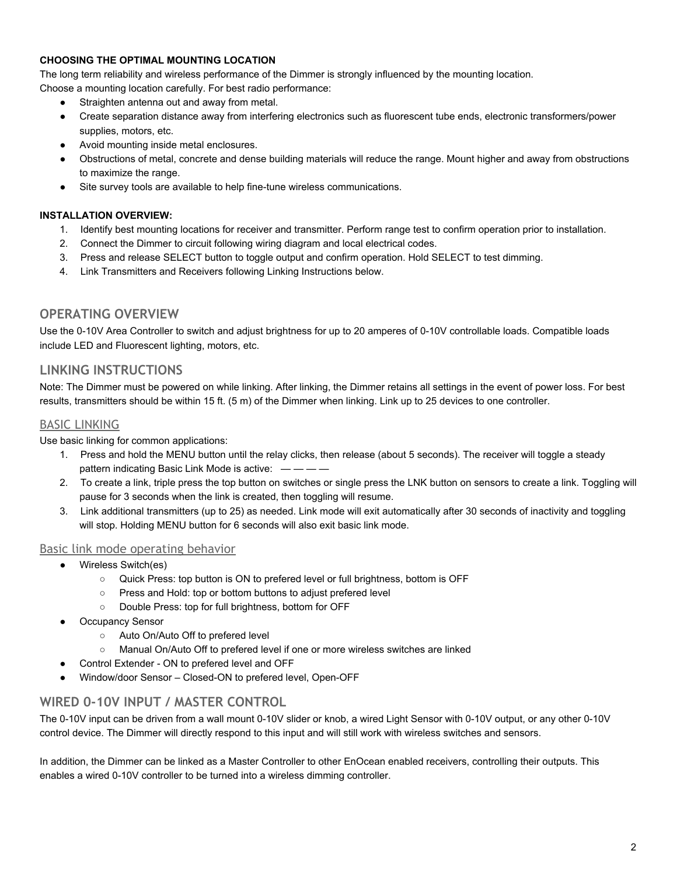#### **CHOOSING THE OPTIMAL MOUNTING LOCATION**

The long term reliability and wireless performance of the Dimmer is strongly influenced by the mounting location.

- Choose a mounting location carefully. For best radio performance:
	- Straighten antenna out and away from metal.
	- Create separation distance away from interfering electronics such as fluorescent tube ends, electronic transformers/power supplies, motors, etc.
	- Avoid mounting inside metal enclosures.
	- Obstructions of metal, concrete and dense building materials will reduce the range. Mount higher and away from obstructions to maximize the range.
	- Site survey tools are available to help fine-tune wireless communications.

#### **INSTALLATION OVERVIEW:**

- 1. Identify best mounting locations for receiver and transmitter. Perform range test to confirm operation prior to installation.
- 2. Connect the Dimmer to circuit following wiring diagram and local electrical codes.
- 3. Press and release SELECT button to toggle output and confirm operation. Hold SELECT to test dimming.
- 4. Link Transmitters and Receivers following Linking Instructions below.

#### **OPERATING OVERVIEW**

Use the 0-10V Area Controller to switch and adjust brightness for up to 20 amperes of 0-10V controllable loads. Compatible loads include LED and Fluorescent lighting, motors, etc.

#### **LINKING INSTRUCTIONS**

Note: The Dimmer must be powered on while linking. After linking, the Dimmer retains all settings in the event of power loss. For best results, transmitters should be within 15 ft. (5 m) of the Dimmer when linking. Link up to 25 devices to one controller.

#### BASIC LINKING

Use basic linking for common applications:

- 1. Press and hold the MENU button until the relay clicks, then release (about 5 seconds). The receiver will toggle a steady pattern indicating Basic Link Mode is active:  $\frac{1}{1}$  - -
- 2. To create a link, triple press the top button on switches or single press the LNK button on sensors to create a link. Toggling will pause for 3 seconds when the link is created, then toggling will resume.
- 3. Link additional transmitters (up to 25) as needed. Link mode will exit automatically after 30 seconds of inactivity and toggling will stop. Holding MENU button for 6 seconds will also exit basic link mode.

#### Basic link mode operating behavior

- Wireless Switch(es)
	- Quick Press: top button is ON to prefered level or full brightness, bottom is OFF
	- Press and Hold: top or bottom buttons to adjust prefered level
	- Double Press: top for full brightness, bottom for OFF
- **Occupancy Sensor** 
	- Auto On/Auto Off to prefered level
	- Manual On/Auto Off to prefered level if one or more wireless switches are linked
- Control Extender ON to prefered level and OFF
- Window/door Sensor Closed-ON to prefered level, Open-OFF

### **WIRED 0-10V INPUT / MASTER CONTROL**

The 0-10V input can be driven from a wall mount 0-10V slider or knob, a wired Light Sensor with 0-10V output, or any other 0-10V control device. The Dimmer will directly respond to this input and will still work with wireless switches and sensors.

In addition, the Dimmer can be linked as a Master Controller to other EnOcean enabled receivers, controlling their outputs. This enables a wired 0-10V controller to be turned into a wireless dimming controller.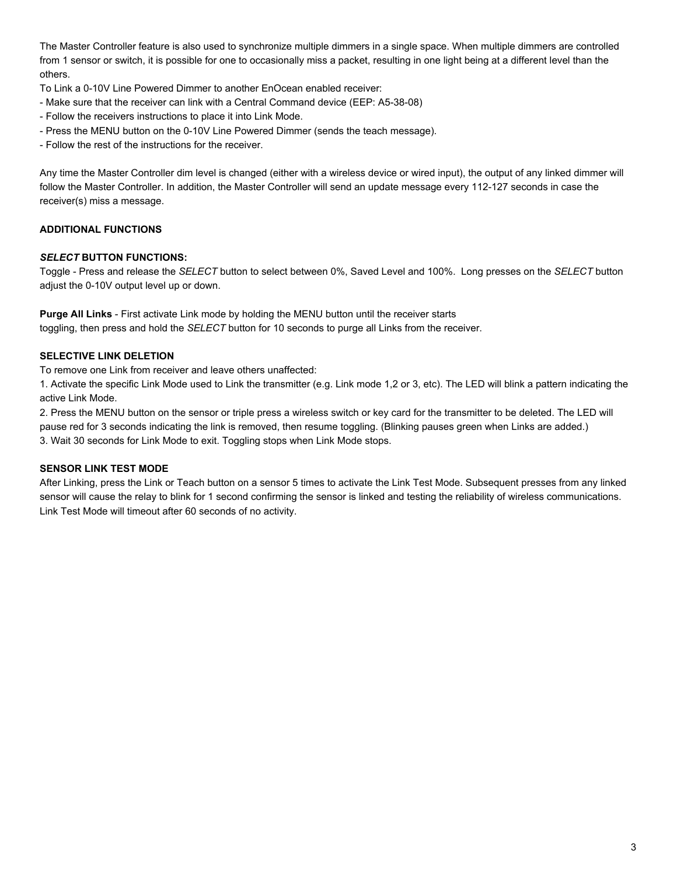The Master Controller feature is also used to synchronize multiple dimmers in a single space. When multiple dimmers are controlled from 1 sensor or switch, it is possible for one to occasionally miss a packet, resulting in one light being at a different level than the others.

To Link a 0-10V Line Powered Dimmer to another EnOcean enabled receiver:

- Make sure that the receiver can link with a Central Command device (EEP: A5-38-08)
- Follow the receivers instructions to place it into Link Mode.
- Press the MENU button on the 0-10V Line Powered Dimmer (sends the teach message).

Follow the rest of the instructions for the receiver.

Any time the Master Controller dim level is changed (either with a wireless device or wired input), the output of any linked dimmer will follow the Master Controller. In addition, the Master Controller will send an update message every 112-127 seconds in case the receiver(s) miss a message.

### **ADDITIONAL FUNCTIONS**

#### *SELECT* **BUTTON FUNCTIONS:**

Toggle - Press and release the *SELECT* button to select between 0%, Saved Level and 100%. Long presses on the *SELECT* button adjust the 0-10V output level up or down.

**Purge All Links - First activate Link mode by holding the MENU button until the receiver starts** toggling, then press and hold the *SELECT* button for 10 seconds to purge all Links from the receiver.

#### **SELECTIVE LINK DELETION**

To remove one Link from receiver and leave others unaffected:

1. Activate the specific Link Mode used to Link the transmitter (e.g. Link mode 1,2 or 3, etc). The LED will blink a pattern indicating the active Link Mode.

2. Press the MENU button on the sensor or triple press a wireless switch or key card for the transmitter to be deleted. The LED will pause red for 3 seconds indicating the link is removed, then resume toggling. (Blinking pauses green when Links are added.) 3. Wait 30 seconds for Link Mode to exit. Toggling stops when Link Mode stops.

#### **SENSOR LINK TEST MODE**

After Linking, press the Link or Teach button on a sensor 5 times to activate the Link Test Mode. Subsequent presses from any linked sensor will cause the relay to blink for 1 second confirming the sensor is linked and testing the reliability of wireless communications. Link Test Mode will timeout after 60 seconds of no activity.